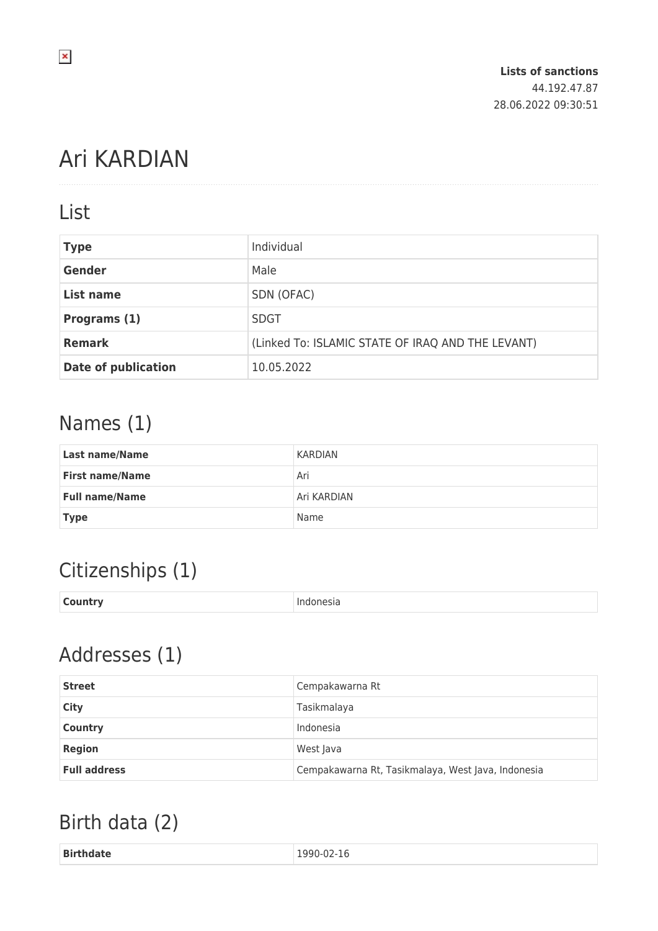# Ari KARDIAN

#### List

| <b>Type</b>                | Individual                                        |
|----------------------------|---------------------------------------------------|
| <b>Gender</b>              | Male                                              |
| List name                  | SDN (OFAC)                                        |
| Programs (1)               | <b>SDGT</b>                                       |
| <b>Remark</b>              | (Linked To: ISLAMIC STATE OF IRAQ AND THE LEVANT) |
| <b>Date of publication</b> | 10.05.2022                                        |

#### Names (1)

| <b>Last name/Name</b>  | KARDIAN     |
|------------------------|-------------|
| <b>First name/Name</b> | Ari         |
| <b>Full name/Name</b>  | Ari KARDIAN |
| <b>Type</b>            | Name        |

## Citizenships (1)

| <b>Country</b> | Indonesia |
|----------------|-----------|
|                |           |

### Addresses (1)

| <b>Street</b>       | Cempakawarna Rt                                    |
|---------------------|----------------------------------------------------|
| City                | Tasikmalaya                                        |
| <b>Country</b>      | Indonesia                                          |
| <b>Region</b>       | West Java                                          |
| <b>Full address</b> | Cempakawarna Rt, Tasikmalaya, West Java, Indonesia |

### Birth data (2)

| <b>Birtl</b><br>TO.<br>-<br>.<br>____ |
|---------------------------------------|
|---------------------------------------|

 $\pmb{\times}$